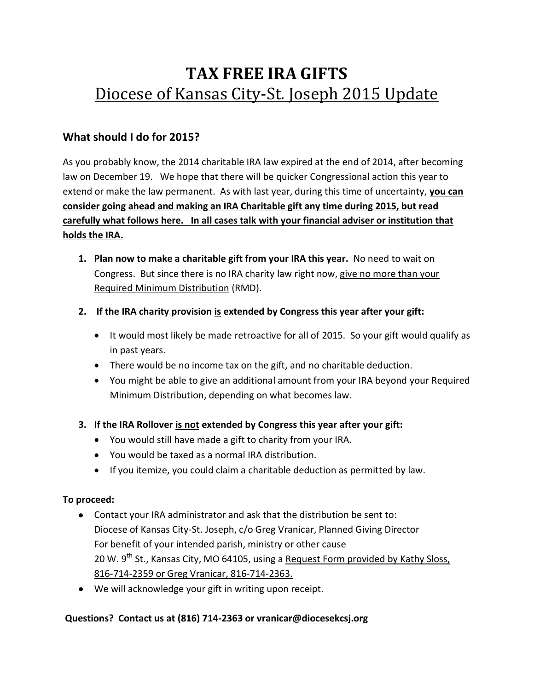# **TAX FREE IRA GIFTS** Diocese of Kansas City-St. Joseph 2015 Update

## **What should I do for 2015?**

As you probably know, the 2014 charitable IRA law expired at the end of 2014, after becoming law on December 19. We hope that there will be quicker Congressional action this year to extend or make the law permanent. As with last year, during this time of uncertainty, **you can consider going ahead and making an IRA Charitable gift any time during 2015, but read carefully what follows here. In all cases talk with your financial adviser or institution that holds the IRA.** 

- **1. Plan now to make a charitable gift from your IRA this year.** No need to wait on Congress. But since there is no IRA charity law right now, give no more than your Required Minimum Distribution (RMD).
- **2. If the IRA charity provision is extended by Congress this year after your gift:**
	- It would most likely be made retroactive for all of 2015. So your gift would qualify as in past years.
	- There would be no income tax on the gift, and no charitable deduction.
	- You might be able to give an additional amount from your IRA beyond your Required Minimum Distribution, depending on what becomes law.
- **3. If the IRA Rollover is not extended by Congress this year after your gift:**
	- You would still have made a gift to charity from your IRA.
	- You would be taxed as a normal IRA distribution.
	- If you itemize, you could claim a charitable deduction as permitted by law.

#### **To proceed:**

- Contact your IRA administrator and ask that the distribution be sent to: Diocese of Kansas City-St. Joseph, c/o Greg Vranicar, Planned Giving Director For benefit of your intended parish, ministry or other cause 20 W.  $9^{th}$  St., Kansas City, MO 64105, using a Request Form provided by Kathy Sloss, 816-714-2359 or Greg Vranicar, 816-714-2363.
- We will acknowledge your gift in writing upon receipt.

#### **Questions? Contact us at (816) 714-2363 or [vranicar@diocesekcsj.org](mailto:vranicar@diocesekcsj.org)**